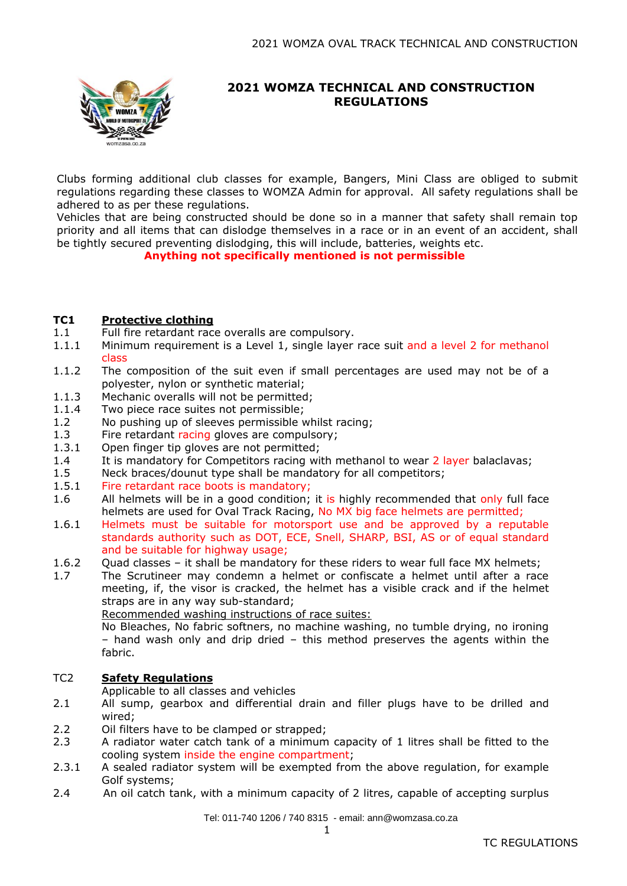

## **2021 WOMZA TECHNICAL AND CONSTRUCTION REGULATIONS**

Clubs forming additional club classes for example, Bangers, Mini Class are obliged to submit regulations regarding these classes to WOMZA Admin for approval. All safety regulations shall be adhered to as per these regulations.

Vehicles that are being constructed should be done so in a manner that safety shall remain top priority and all items that can dislodge themselves in a race or in an event of an accident, shall be tightly secured preventing dislodging, this will include, batteries, weights etc.

 **Anything not specifically mentioned is not permissible**

### **TC1 Protective clothing**

- 1.1 Full fire retardant race overalls are compulsory.
- 1.1.1 Minimum requirement is a Level 1, single layer race suit and a level 2 for methanol class
- 1.1.2 The composition of the suit even if small percentages are used may not be of a polyester, nylon or synthetic material;
- 1.1.3 Mechanic overalls will not be permitted;
- 1.1.4 Two piece race suites not permissible;
- 1.2 No pushing up of sleeves permissible whilst racing;
- 1.3 Fire retardant racing gloves are compulsory;
- 1.3.1 Open finger tip gloves are not permitted;
- 1.4 It is mandatory for Competitors racing with methanol to wear 2 layer balaclavas;
- 1.5 Neck braces/dounut type shall be mandatory for all competitors;
- 1.5.1 Fire retardant race boots is mandatory;
- 1.6 All helmets will be in a good condition; it is highly recommended that only full face helmets are used for Oval Track Racing, No MX big face helmets are permitted;
- 1.6.1 Helmets must be suitable for motorsport use and be approved by a reputable standards authority such as DOT, ECE, Snell, SHARP, BSI, AS or of equal standard and be suitable for highway usage;
- 1.6.2 Quad classes – it shall be mandatory for these riders to wear full face MX helmets;
- 1.7 The Scrutineer may condemn a helmet or confiscate a helmet until after a race meeting, if, the visor is cracked, the helmet has a visible crack and if the helmet straps are in any way sub-standard;

Recommended washing instructions of race suites:

No Bleaches, No fabric softners, no machine washing, no tumble drying, no ironing – hand wash only and drip dried – this method preserves the agents within the fabric.

#### TC2 **Safety Regulations**

Applicable to all classes and vehicles

- 2.1 All sump, gearbox and differential drain and filler plugs have to be drilled and wired;
- 2.2 Oil filters have to be clamped or strapped;
- 2.3 A radiator water catch tank of a minimum capacity of 1 litres shall be fitted to the cooling system inside the engine compartment;
- 2.3.1 A sealed radiator system will be exempted from the above regulation, for example Golf systems;
- 2.4 An oil catch tank, with a minimum capacity of 2 litres, capable of accepting surplus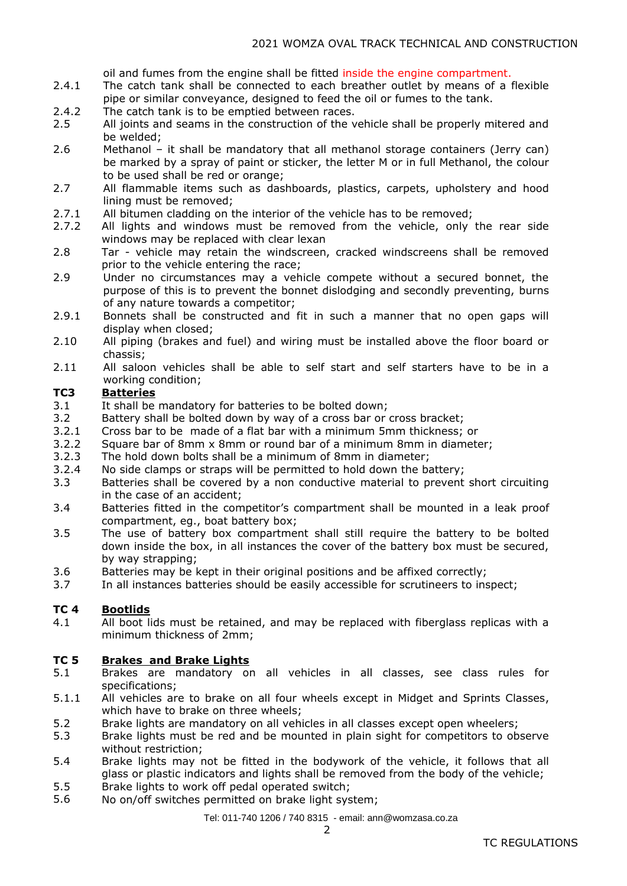oil and fumes from the engine shall be fitted inside the engine compartment.

- 2.4.1 The catch tank shall be connected to each breather outlet by means of a flexible pipe or similar conveyance, designed to feed the oil or fumes to the tank.
- 2.4.2 The catch tank is to be emptied between races.
- 2.5 All joints and seams in the construction of the vehicle shall be properly mitered and be welded;
- 2.6 Methanol – it shall be mandatory that all methanol storage containers (Jerry can) be marked by a spray of paint or sticker, the letter M or in full Methanol, the colour to be used shall be red or orange;
- 2.7 All flammable items such as dashboards, plastics, carpets, upholstery and hood lining must be removed;
- 2.7.1 All bitumen cladding on the interior of the vehicle has to be removed;
- 2.7.2 All lights and windows must be removed from the vehicle, only the rear side windows may be replaced with clear lexan
- 2.8 Tar - vehicle may retain the windscreen, cracked windscreens shall be removed prior to the vehicle entering the race;
- 2.9 Under no circumstances may a vehicle compete without a secured bonnet, the purpose of this is to prevent the bonnet dislodging and secondly preventing, burns of any nature towards a competitor;
- 2.9.1 Bonnets shall be constructed and fit in such a manner that no open gaps will display when closed;
- 2.10 All piping (brakes and fuel) and wiring must be installed above the floor board or chassis;
- 2.11 All saloon vehicles shall be able to self start and self starters have to be in a working condition;

#### **TC3 Batteries**

- 3.1 It shall be mandatory for batteries to be bolted down;
- 3.2 Battery shall be bolted down by way of a cross bar or cross bracket;
- 3.2.1 Cross bar to be made of a flat bar with a minimum 5mm thickness; or
- 3.2.2 Square bar of 8mm x 8mm or round bar of a minimum 8mm in diameter;
- 3.2.3 The hold down bolts shall be a minimum of 8mm in diameter;
- 3.2.4 No side clamps or straps will be permitted to hold down the battery;
- 3.3 Batteries shall be covered by a non conductive material to prevent short circuiting in the case of an accident;
- 3.4 Batteries fitted in the competitor's compartment shall be mounted in a leak proof compartment, eg., boat battery box;
- 3.5 The use of battery box compartment shall still require the battery to be bolted down inside the box, in all instances the cover of the battery box must be secured, by way strapping;
- 3.6 Batteries may be kept in their original positions and be affixed correctly;
- 3.7 In all instances batteries should be easily accessible for scrutineers to inspect;

#### **TC 4 Bootlids**

4.1 All boot lids must be retained, and may be replaced with fiberglass replicas with a minimum thickness of 2mm;

#### **TC 5 Brakes and Brake Lights**

- 5.1 Brakes are mandatory on all vehicles in all classes, see class rules for specifications;
- 5.1.1 All vehicles are to brake on all four wheels except in Midget and Sprints Classes, which have to brake on three wheels;
- 5.2 Brake lights are mandatory on all vehicles in all classes except open wheelers;
- 5.3 Brake lights must be red and be mounted in plain sight for competitors to observe without restriction;
- 5.4 Brake lights may not be fitted in the bodywork of the vehicle, it follows that all glass or plastic indicators and lights shall be removed from the body of the vehicle;
- 5.5 Brake lights to work off pedal operated switch;
- 5.6 No on/off switches permitted on brake light system;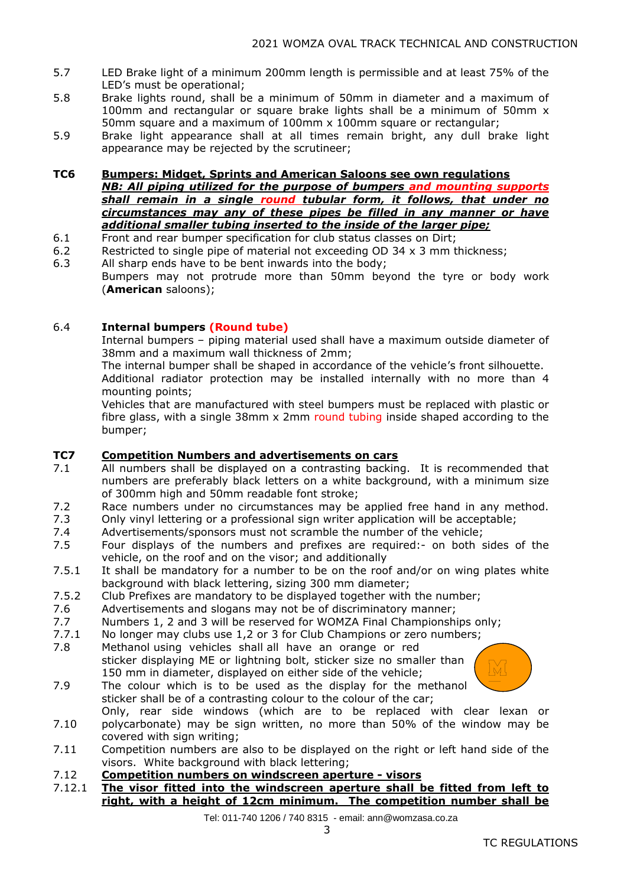- 5.7 LED Brake light of a minimum 200mm length is permissible and at least 75% of the LED's must be operational;
- 5.8 Brake lights round, shall be a minimum of 50mm in diameter and a maximum of 100mm and rectangular or square brake lights shall be a minimum of 50mm x 50mm square and a maximum of 100mm x 100mm square or rectangular;
- 5.9 Brake light appearance shall at all times remain bright, any dull brake light appearance may be rejected by the scrutineer;

#### **TC6 Bumpers: Midget, Sprints and American Saloons see own regulations**

*NB: All piping utilized for the purpose of bumpers and mounting supports shall remain in a single round tubular form, it follows, that under no circumstances may any of these pipes be filled in any manner or have additional smaller tubing inserted to the inside of the larger pipe;*

- 6.1 Front and rear bumper specification for club status classes on Dirt;
- 6.2 Restricted to single pipe of material not exceeding OD 34 x 3 mm thickness;
- 6.3 All sharp ends have to be bent inwards into the body; Bumpers may not protrude more than 50mm beyond the tyre or body work (**American** saloons);

### 6.4 **Internal bumpers (Round tube)**

Internal bumpers – piping material used shall have a maximum outside diameter of 38mm and a maximum wall thickness of 2mm;

The internal bumper shall be shaped in accordance of the vehicle's front silhouette. Additional radiator protection may be installed internally with no more than 4 mounting points;

Vehicles that are manufactured with steel bumpers must be replaced with plastic or fibre glass, with a single 38mm x 2mm round tubing inside shaped according to the bumper;

#### **TC7 Competition Numbers and advertisements on cars**

- 7.1 All numbers shall be displayed on a contrasting backing. It is recommended that numbers are preferably black letters on a white background, with a minimum size of 300mm high and 50mm readable font stroke;
- 7.2 Race numbers under no circumstances may be applied free hand in any method.
- 7.3 Only vinyl lettering or a professional sign writer application will be acceptable;
- 7.4 Advertisements/sponsors must not scramble the number of the vehicle;
- 7.5 Four displays of the numbers and prefixes are required:- on both sides of the vehicle, on the roof and on the visor; and additionally
- 7.5.1 It shall be mandatory for a number to be on the roof and/or on wing plates white background with black lettering, sizing 300 mm diameter;
- 7.5.2 Club Prefixes are mandatory to be displayed together with the number;
- 7.6 Advertisements and slogans may not be of discriminatory manner;
- 7.7 Numbers 1, 2 and 3 will be reserved for WOMZA Final Championships only;
- 7.7.1 No longer may clubs use 1,2 or 3 for Club Champions or zero numbers;
- 7.8 Methanol using vehicles shall all have an orange or red sticker displaying ME or lightning bolt, sticker size no smaller than 150 mm in diameter, displayed on either side of the vehicle;



7.9 The colour which is to be used as the display for the methanol sticker shall be of a contrasting colour to the colour of the car;

7.10 Only, rear side windows (which are to be replaced with clear lexan or polycarbonate) may be sign written, no more than 50% of the window may be covered with sign writing;

- 7.11 Competition numbers are also to be displayed on the right or left hand side of the visors. White background with black lettering;
- 7.12 **Competition numbers on windscreen aperture - visors**
- 7.12.1 **The visor fitted into the windscreen aperture shall be fitted from left to right, with a height of 12cm minimum. The competition number shall be**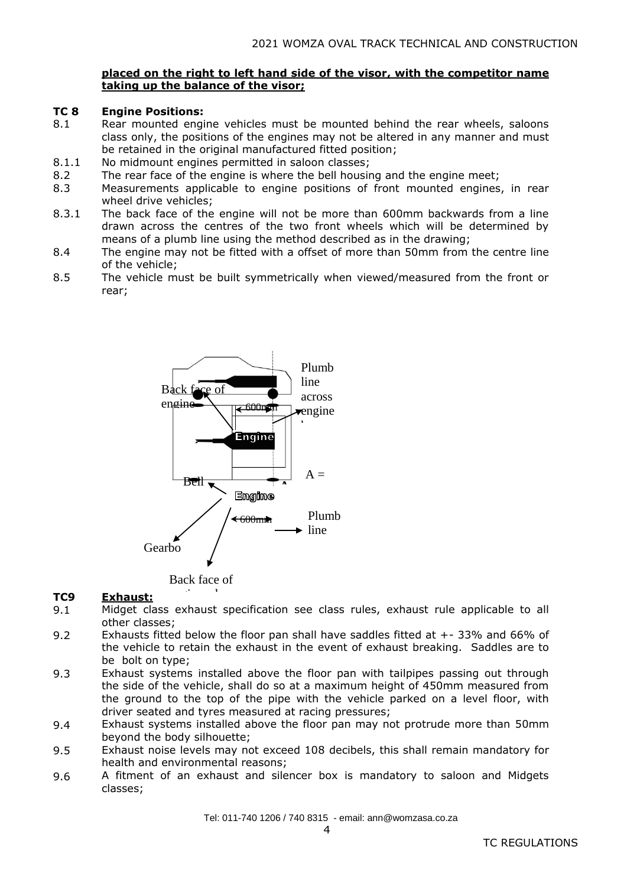### **placed on the right to left hand side of the visor, with the competitor name taking up the balance of the visor;**

#### **TC 8 Engine Positions:**

- 8.1 Rear mounted engine vehicles must be mounted behind the rear wheels, saloons class only, the positions of the engines may not be altered in any manner and must be retained in the original manufactured fitted position;
- 8.1.1 No midmount engines permitted in saloon classes;
- 8.2 The rear face of the engine is where the bell housing and the engine meet;
- 8.3 Measurements applicable to engine positions of front mounted engines, in rear wheel drive vehicles;
- 8.3.1 The back face of the engine will not be more than 600mm backwards from a line drawn across the centres of the two front wheels which will be determined by means of a plumb line using the method described as in the drawing;
- 8.4 The engine may not be fitted with a offset of more than 50mm from the centre line of the vehicle;
- 8.5 The vehicle must be built symmetrically when viewed/measured from the front or rear;



Back face of engine where

#### **TC9 Exhaust:**

- 9.1 Exhaust:<br>Midget class exhaust specification see class rules, exhaust rule applicable to all other classes; central<br>...
- 9.2 Exhausts fitted below the floor pan shall have saddles fitted at +- 33% and 66% of Exhausts htted below the noor pan shall have saddles htted at +-33% and 66% of<br>the vehicle to retain the exhaust in the event of exhaust breaking. Saddles are to be bolt on type;
- 9.3 Exhaust systems installed above the floor pan with tailpipes passing out through the side of the vehicle, shall do so at a maximum height of 450mm measured from the ground to the top of the pipe with the vehicle parked on a level floor, with driver seated and tyres measured at racing pressures;
- 9.4 Exhaust systems installed above the floor pan may not protrude more than 50mm beyond the body silhouette;
- 9.5 Exhaust noise levels may not exceed 108 decibels, this shall remain mandatory for health and environmental reasons;
- 9.6 A fitment of an exhaust and silencer box is mandatory to saloon and Midgets classes;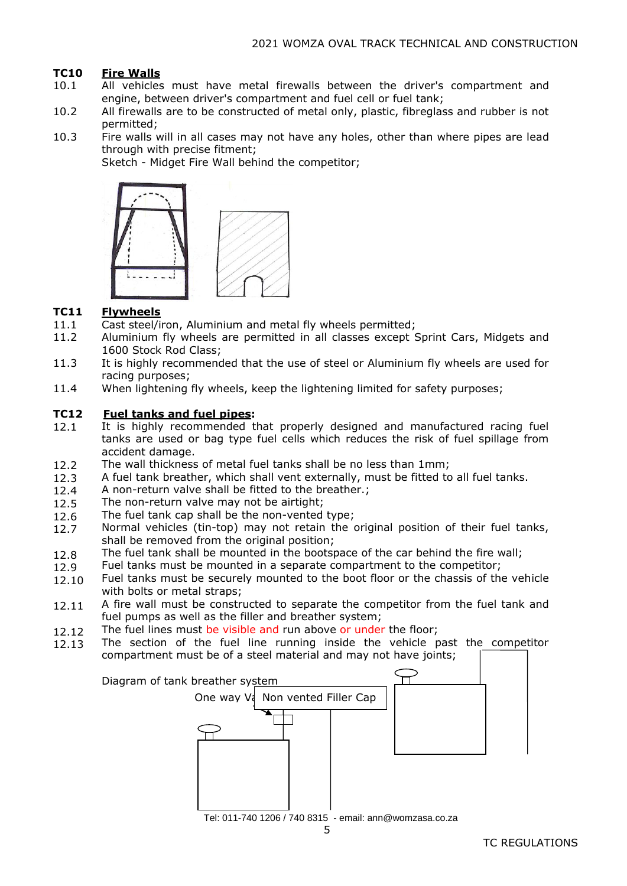#### **TC10 Fire Walls**

- 10.1 All vehicles must have metal firewalls between the driver's compartment and engine, between driver's compartment and fuel cell or fuel tank;
- 10.2 All firewalls are to be constructed of metal only, plastic, fibreglass and rubber is not permitted;
- 10.3 Fire walls will in all cases may not have any holes, other than where pipes are lead through with precise fitment;

Sketch - Midget Fire Wall behind the competitor;



#### **TC11 Flywheels**

- 11.1 Cast steel/iron, Aluminium and metal fly wheels permitted;
- 11.2 Aluminium fly wheels are permitted in all classes except Sprint Cars, Midgets and 1600 Stock Rod Class;
- 11.3 It is highly recommended that the use of steel or Aluminium fly wheels are used for racing purposes;
- 11.4 When lightening fly wheels, keep the lightening limited for safety purposes;

#### **TC12** 1.1 **Fuel tanks and fuel pipes:**

- 12.1 It is highly recommended that properly designed and manufactured racing fuel tanks are used or bag type fuel cells which reduces the risk of fuel spillage from accident damage.
- 12.2 The wall thickness of metal fuel tanks shall be no less than 1mm;
- 12.3 A fuel tank breather, which shall vent externally, must be fitted to all fuel tanks.
- 12.4 A non-return valve shall be fitted to the breather.;
- 12.5 The non-return valve may not be airtight;
- 12.6 The fuel tank cap shall be the non-vented type;
- 12.7 Normal vehicles (tin-top) may not retain the original position of their fuel tanks, shall be removed from the original position;
- 12.8 The fuel tank shall be mounted in the bootspace of the car behind the fire wall;
- 12.9 Fuel tanks must be mounted in a separate compartment to the competitor;
- 12.10 Fuel tanks must be securely mounted to the boot floor or the chassis of the vehicle with bolts or metal straps;
- 12.11 A fire wall must be constructed to separate the competitor from the fuel tank and fuel pumps as well as the filler and breather system;
- 12.12 The fuel lines must be visible and run above or under the floor;
- The section of the fuel line running inside the vehicle past the competitor 12.13 compartment must be of a steel material and may not have joints;  $\top$

| Diagram of tank breather system<br>One way V Non vented Filler Cap |  |
|--------------------------------------------------------------------|--|
|                                                                    |  |
|                                                                    |  |
| Tel: 011-740 1206 / 740 8315 - email: ann@womzasa.co.za            |  |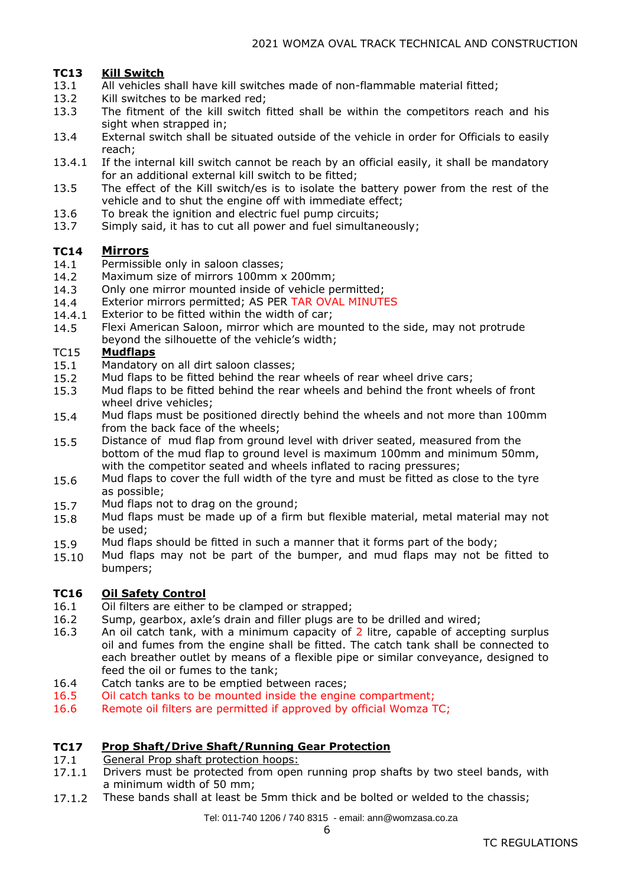#### **TC13 Kill Switch**

- 13.1 All vehicles shall have kill switches made of non-flammable material fitted;
- 13.2 Kill switches to be marked red;
- 13.3 The fitment of the kill switch fitted shall be within the competitors reach and his sight when strapped in:
- 13.4 External switch shall be situated outside of the vehicle in order for Officials to easily reach;
- 13.4.1 If the internal kill switch cannot be reach by an official easily, it shall be mandatory for an additional external kill switch to be fitted;
- 13.5 The effect of the Kill switch/es is to isolate the battery power from the rest of the vehicle and to shut the engine off with immediate effect;
- 13.6 To break the ignition and electric fuel pump circuits;
- 13.7 Simply said, it has to cut all power and fuel simultaneously;

#### **TC14 Mirrors**

- 14.1 Permissible only in saloon classes;
- 14.2 Maximum size of mirrors 100mm x 200mm;
- 14.3 Only one mirror mounted inside of vehicle permitted;
- 14.4 Exterior mirrors permitted; AS PER TAR OVAL MINUTES
- 14.4.1 Exterior to be fitted within the width of car;
- 14.5 Flexi American Saloon, mirror which are mounted to the side, may not protrude beyond the silhouette of the vehicle's width;

#### TC15 **Mudflaps**

- 15.1 Mandatory on all dirt saloon classes;
- 15.2 Mud flaps to be fitted behind the rear wheels of rear wheel drive cars;
- 15.3 Mud flaps to be fitted behind the rear wheels and behind the front wheels of front wheel drive vehicles;
- 15.4 Mud flaps must be positioned directly behind the wheels and not more than 100mm from the back face of the wheels;
- 15.5 Distance of mud flap from ground level with driver seated, measured from the bottom of the mud flap to ground level is maximum 100mm and minimum 50mm, with the competitor seated and wheels inflated to racing pressures;
- 15.6 Mud flaps to cover the full width of the tyre and must be fitted as close to the tyre as possible;
- 15.7 Mud flaps not to drag on the ground;
- 15.8 Mud flaps must be made up of a firm but flexible material, metal material may not be used;
- 15.9 Mud flaps should be fitted in such a manner that it forms part of the body;
- 15.10 Mud flaps may not be part of the bumper, and mud flaps may not be fitted to bumpers;

#### **TC16 Oil Safety Control**

- 16.1 Oil filters are either to be clamped or strapped;
- 16.2 Sump, gearbox, axle's drain and filler plugs are to be drilled and wired;
- 16.3 An oil catch tank, with a minimum capacity of 2 litre, capable of accepting surplus oil and fumes from the engine shall be fitted. The catch tank shall be connected to each breather outlet by means of a flexible pipe or similar conveyance, designed to feed the oil or fumes to the tank;
- 16.4 Catch tanks are to be emptied between races;
- 16.5 Oil catch tanks to be mounted inside the engine compartment;
- 16.6 Remote oil filters are permitted if approved by official Womza TC;

#### **TC17 Prop Shaft/Drive Shaft/Running Gear Protection**

- 17.1 General Prop shaft protection hoops:
- 17.1.1 Drivers must be protected from open running prop shafts by two steel bands, with a minimum width of 50 mm;
- 17.1.2 These bands shall at least be 5mm thick and be bolted or welded to the chassis;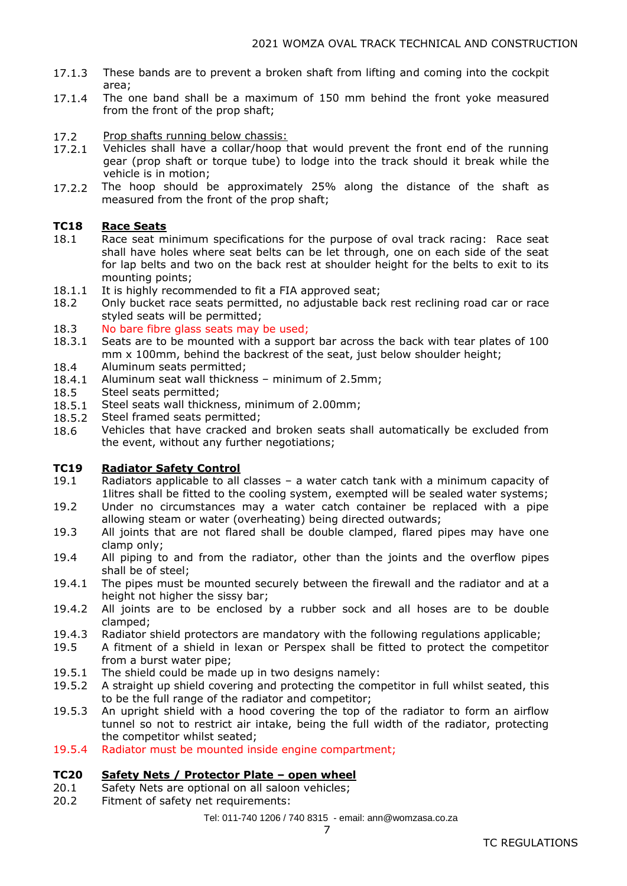- 17.1.3 These bands are to prevent a broken shaft from lifting and coming into the cockpit area;
- 17.1.4 The one band shall be a maximum of 150 mm behind the front yoke measured from the front of the prop shaft;
- 17.2 Prop shafts running below chassis:
- 17.2.1 Vehicles shall have a collar/hoop that would prevent the front end of the running gear (prop shaft or torque tube) to lodge into the track should it break while the vehicle is in motion;
- 17.2.2 The hoop should be approximately 25% along the distance of the shaft as measured from the front of the prop shaft;

#### **TC18 Race Seats**

- 18.1 Race seat minimum specifications for the purpose of oval track racing: Race seat shall have holes where seat belts can be let through, one on each side of the seat for lap belts and two on the back rest at shoulder height for the belts to exit to its mounting points;
- 18.1.1 It is highly recommended to fit a FIA approved seat;
- 18.2 Only bucket race seats permitted, no adjustable back rest reclining road car or race styled seats will be permitted;
- 18.3 No bare fibre glass seats may be used;
- 18.3.1 18.4 Seats are to be mounted with a support bar across the back with tear plates of 100 mm x 100mm, behind the backrest of the seat, just below shoulder height; Aluminum seats permitted;
- 18.4.1 Aluminum seat wall thickness – minimum of 2.5mm;
- 18.5 Steel seats permitted;
- 18.5.1 Steel seats wall thickness, minimum of 2.00mm;
- 18.5.2 Steel framed seats permitted;
- 18.6 Vehicles that have cracked and broken seats shall automatically be excluded from the event, without any further negotiations;

#### **TC19 Radiator Safety Control**

- 19.1 Radiators applicable to all classes – a water catch tank with a minimum capacity of 1litres shall be fitted to the cooling system, exempted will be sealed water systems;
- 19.2 Under no circumstances may a water catch container be replaced with a pipe allowing steam or water (overheating) being directed outwards;
- 19.3 All joints that are not flared shall be double clamped, flared pipes may have one clamp only;
- 19.4 All piping to and from the radiator, other than the joints and the overflow pipes shall be of steel;
- 19.4.1 The pipes must be mounted securely between the firewall and the radiator and at a height not higher the sissy bar;
- 19.4.2 All joints are to be enclosed by a rubber sock and all hoses are to be double clamped;
- 19.4.3 Radiator shield protectors are mandatory with the following regulations applicable;
- 19.5 A fitment of a shield in lexan or Perspex shall be fitted to protect the competitor from a burst water pipe;
- 19.5.1 The shield could be made up in two designs namely:
- 19.5.2 A straight up shield covering and protecting the competitor in full whilst seated, this to be the full range of the radiator and competitor;
- 19.5.3 An upright shield with a hood covering the top of the radiator to form an airflow tunnel so not to restrict air intake, being the full width of the radiator, protecting the competitor whilst seated;
- 19.5.4 Radiator must be mounted inside engine compartment;

#### **TC20 Safety Nets / Protector Plate – open wheel**

- 20.1 Safety Nets are optional on all saloon vehicles;
- 20.2 Fitment of safety net requirements:

Tel: 011-740 1206 / 740 8315 - email: ann@womzasa.co.za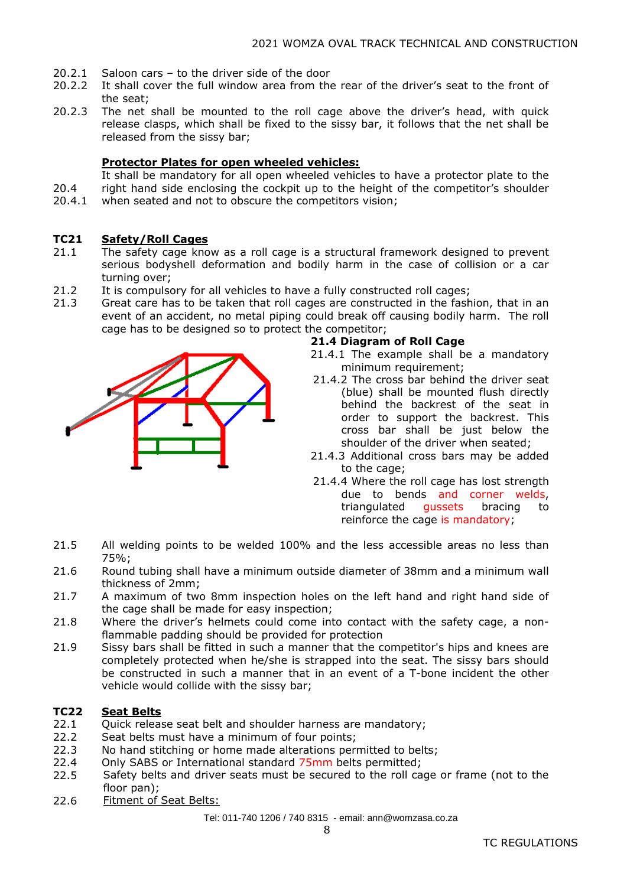- 20.2.1 Saloon cars – to the driver side of the door
- 20.2.2 It shall cover the full window area from the rear of the driver's seat to the front of the seat;
- 20.2.3 The net shall be mounted to the roll cage above the driver's head, with quick release clasps, which shall be fixed to the sissy bar, it follows that the net shall be released from the sissy bar;

### **Protector Plates for open wheeled vehicles:**

20.4 It shall be mandatory for all open wheeled vehicles to have a protector plate to the right hand side enclosing the cockpit up to the height of the competitor's shoulder

20.4.1 when seated and not to obscure the competitors vision;

#### **TC21 Safety/Roll Cages**

- 21.1 The safety cage know as a roll cage is a structural framework designed to prevent serious bodyshell deformation and bodily harm in the case of collision or a car turning over;
- 21.2 It is compulsory for all vehicles to have a fully constructed roll cages;
- 21.3 Great care has to be taken that roll cages are constructed in the fashion, that in an event of an accident, no metal piping could break off causing bodily harm. The roll cage has to be designed so to protect the competitor;



### **21.4 Diagram of Roll Cage**

- 21.4.1 The example shall be a mandatory minimum requirement;
- 21.4.2 The cross bar behind the driver seat (blue) shall be mounted flush directly behind the backrest of the seat in order to support the backrest. This cross bar shall be just below the shoulder of the driver when seated;
- 21.4.3 Additional cross bars may be added to the cage;
- 21.4.4 Where the roll cage has lost strength due to bends and corner welds, triangulated gussets bracing to reinforce the cage is mandatory;
- 21.5 All welding points to be welded 100% and the less accessible areas no less than 75%;
- 21.6 Round tubing shall have a minimum outside diameter of 38mm and a minimum wall thickness of 2mm;
- 21.7 A maximum of two 8mm inspection holes on the left hand and right hand side of the cage shall be made for easy inspection;
- 21.8 Where the driver's helmets could come into contact with the safety cage, a nonflammable padding should be provided for protection
- 21.9 Sissy bars shall be fitted in such a manner that the competitor's hips and knees are completely protected when he/she is strapped into the seat. The sissy bars should be constructed in such a manner that in an event of a T-bone incident the other vehicle would collide with the sissy bar;

#### **TC22 Seat Belts**

- 22.1 Quick release seat belt and shoulder harness are mandatory;
- 22.2 Seat belts must have a minimum of four points;
- 22.3 No hand stitching or home made alterations permitted to belts;
- 22.4 Only SABS or International standard 75mm belts permitted;
- 22.5 Safety belts and driver seats must be secured to the roll cage or frame (not to the floor pan);
- 22.6 Fitment of Seat Belts: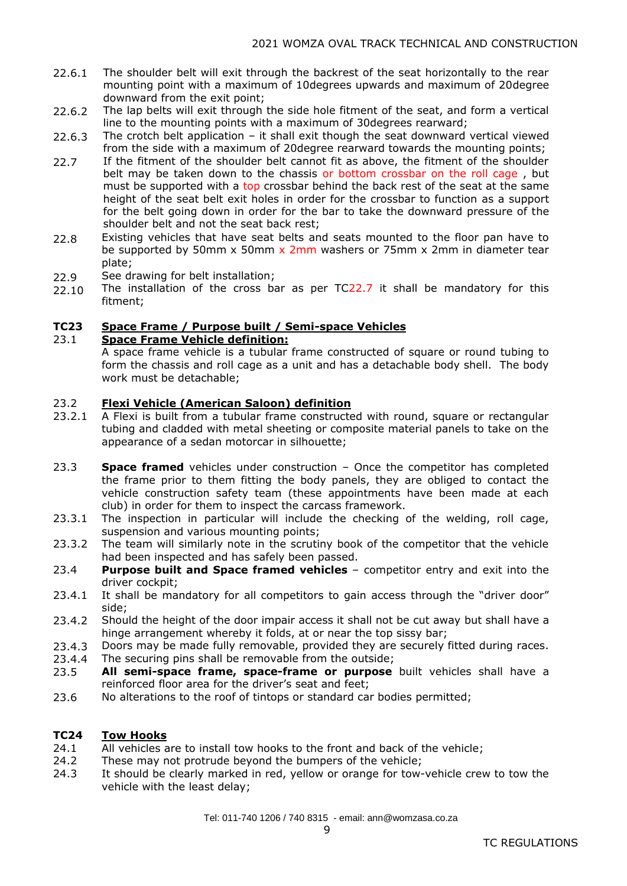- 22.6.1 The shoulder belt will exit through the backrest of the seat horizontally to the rear mounting point with a maximum of 10degrees upwards and maximum of 20degree downward from the exit point;
- 22.6.2 The lap belts will exit through the side hole fitment of the seat, and form a vertical line to the mounting points with a maximum of 30degrees rearward;
- 22.6.3 The crotch belt application – it shall exit though the seat downward vertical viewed from the side with a maximum of 20degree rearward towards the mounting points;
- 22.7 If the fitment of the shoulder belt cannot fit as above, the fitment of the shoulder belt may be taken down to the chassis or bottom crossbar on the roll cage , but must be supported with a top crossbar behind the back rest of the seat at the same height of the seat belt exit holes in order for the crossbar to function as a support for the belt going down in order for the bar to take the downward pressure of the shoulder belt and not the seat back rest;
- 22.8 Existing vehicles that have seat belts and seats mounted to the floor pan have to be supported by 50mm x 50mm x 2mm washers or 75mm x 2mm in diameter tear plate;
- 22.9 See drawing for belt installation;
- 22.10 The installation of the cross bar as per TC22.7 it shall be mandatory for this fitment;

#### **TC23 Space Frame / Purpose built / Semi-space Vehicles**

#### 23.1 **Space Frame Vehicle definition:**

A space frame vehicle is a tubular frame constructed of square or round tubing to form the chassis and roll cage as a unit and has a detachable body shell. The body work must be detachable;

#### 23.2 **Flexi Vehicle (American Saloon) definition**

- 23.2.1 A Flexi is built from a tubular frame constructed with round, square or rectangular tubing and cladded with metal sheeting or composite material panels to take on the appearance of a sedan motorcar in silhouette;
- 23.3 **Space framed** vehicles under construction – Once the competitor has completed the frame prior to them fitting the body panels, they are obliged to contact the vehicle construction safety team (these appointments have been made at each club) in order for them to inspect the carcass framework.
- 23.3.1 The inspection in particular will include the checking of the welding, roll cage, suspension and various mounting points;
- 23.3.2 The team will similarly note in the scrutiny book of the competitor that the vehicle had been inspected and has safely been passed.
- 23.4 **Purpose built and Space framed vehicles** – competitor entry and exit into the driver cockpit;
- 23.4.1 It shall be mandatory for all competitors to gain access through the "driver door" side;
- 23.4.2 Should the height of the door impair access it shall not be cut away but shall have a hinge arrangement whereby it folds, at or near the top sissy bar;
- 23.4.3 Doors may be made fully removable, provided they are securely fitted during races.
- 23.4.4 The securing pins shall be removable from the outside;
- 23.5 **All semi-space frame, space-frame or purpose** built vehicles shall have a reinforced floor area for the driver's seat and feet;
- 23.6 No alterations to the roof of tintops or standard car bodies permitted;

#### **TC24 Tow Hooks**

- 24.1 All vehicles are to install tow hooks to the front and back of the vehicle;
- 24.2 These may not protrude beyond the bumpers of the vehicle;
- 24.3 It should be clearly marked in red, yellow or orange for tow-vehicle crew to tow the vehicle with the least delay;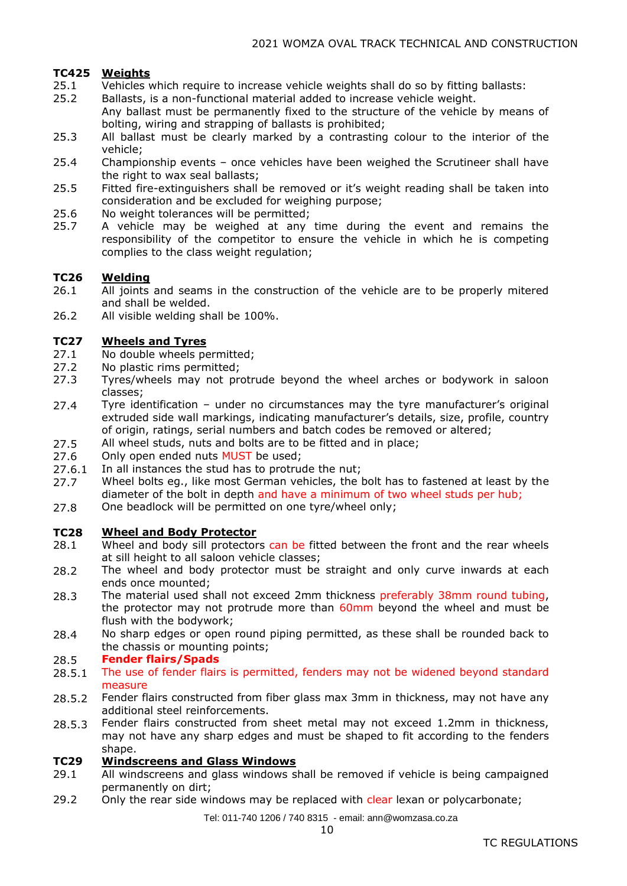### **TC425 Weights**

- 25.1 Vehicles which require to increase vehicle weights shall do so by fitting ballasts:
- 25.2 Ballasts, is a non-functional material added to increase vehicle weight.
- Any ballast must be permanently fixed to the structure of the vehicle by means of bolting, wiring and strapping of ballasts is prohibited;
- 25.3 All ballast must be clearly marked by a contrasting colour to the interior of the vehicle;
- 25.4 Championship events – once vehicles have been weighed the Scrutineer shall have the right to wax seal ballasts;
- 25.5 Fitted fire-extinguishers shall be removed or it's weight reading shall be taken into consideration and be excluded for weighing purpose;
- 25.6 No weight tolerances will be permitted;
- 25.7 A vehicle may be weighed at any time during the event and remains the responsibility of the competitor to ensure the vehicle in which he is competing complies to the class weight regulation;

#### **TC26 Welding**

- 26.1 All joints and seams in the construction of the vehicle are to be properly mitered and shall be welded.
- 26.2 All visible welding shall be 100%.

#### **TC27 Wheels and Tyres**

- 27.1 No double wheels permitted;
- 27.2 No plastic rims permitted;
- 27.3 Tyres/wheels may not protrude beyond the wheel arches or bodywork in saloon classes;
- 27.4 Tyre identification – under no circumstances may the tyre manufacturer's original extruded side wall markings, indicating manufacturer's details, size, profile, country of origin, ratings, serial numbers and batch codes be removed or altered;
- 27.5 All wheel studs, nuts and bolts are to be fitted and in place;
- 27.6 Only open ended nuts MUST be used;
- 27.6.1 In all instances the stud has to protrude the nut;
- 27.7 Wheel bolts eg., like most German vehicles, the bolt has to fastened at least by the diameter of the bolt in depth and have a minimum of two wheel studs per hub;
- 27.8 One beadlock will be permitted on one tyre/wheel only;

#### **TC28 Wheel and Body Protector**

- 28.1 Wheel and body sill protectors can be fitted between the front and the rear wheels at sill height to all saloon vehicle classes;
- 28.2 The wheel and body protector must be straight and only curve inwards at each ends once mounted;
- 28.3 The material used shall not exceed 2mm thickness preferably 38mm round tubing, the protector may not protrude more than 60mm beyond the wheel and must be flush with the bodywork;
- 28.4 No sharp edges or open round piping permitted, as these shall be rounded back to the chassis or mounting points;

#### 28.5 **Fender flairs/Spads**

- 28.5.1 The use of fender flairs is permitted, fenders may not be widened beyond standard measure
- 28.5.2 Fender flairs constructed from fiber glass max 3mm in thickness, may not have any additional steel reinforcements.
- 28.5.3 Fender flairs constructed from sheet metal may not exceed 1.2mm in thickness, may not have any sharp edges and must be shaped to fit according to the fenders shape.

#### **TC29 Windscreens and Glass Windows**

- 29.1 All windscreens and glass windows shall be removed if vehicle is being campaigned permanently on dirt;
- 29.2 Only the rear side windows may be replaced with clear lexan or polycarbonate;